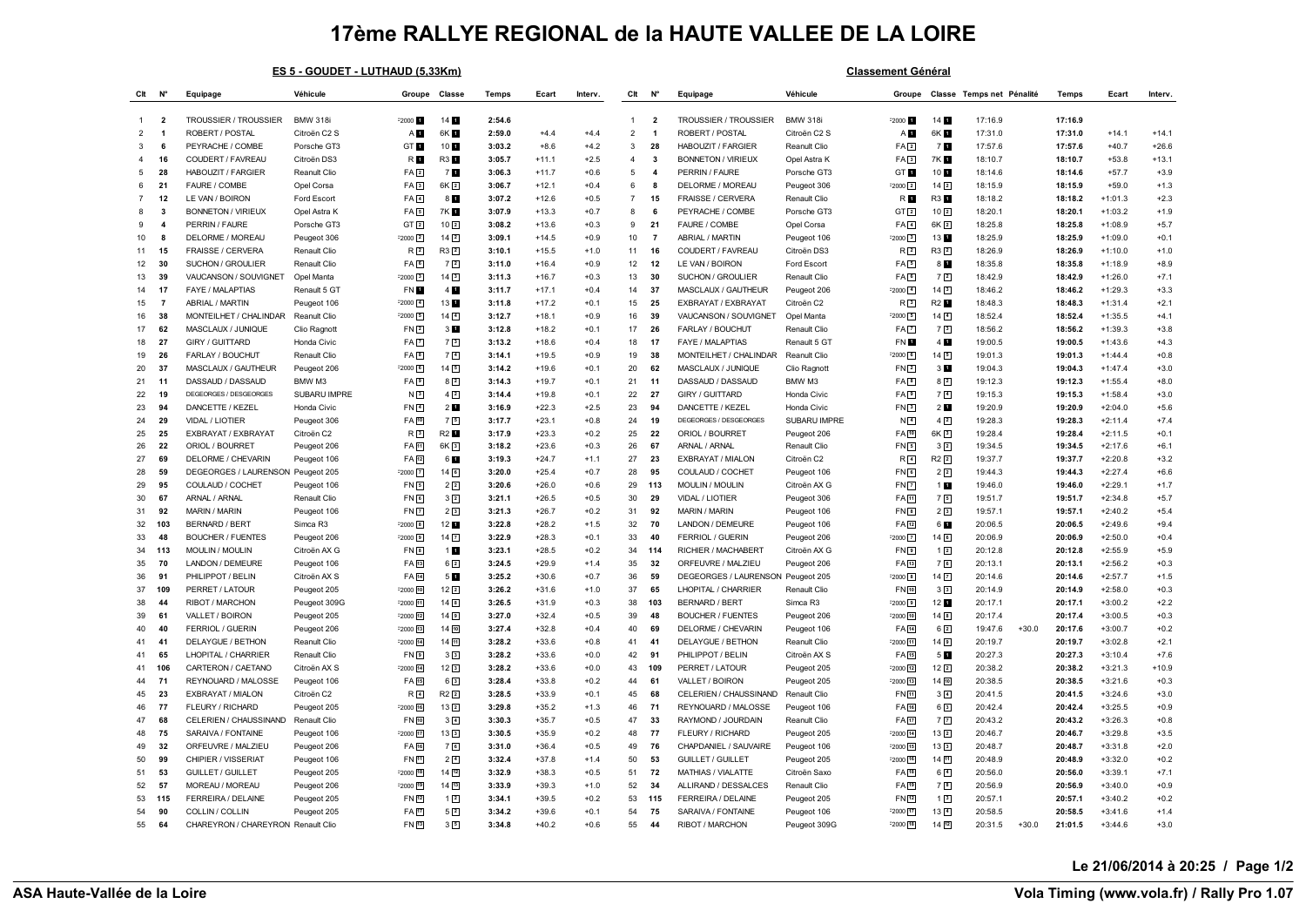## **17ème RALLYE REGIONAL de la HAUTE VALLEE DE LA LOIRE**

|                | ES 5 - GOUDET - LUTHAUD (5,33Km) |                                    |                 |                     |                   |              |         |         |                | <b>Classement Général</b> |                                   |                 |                       |                     |                           |         |         |           |         |
|----------------|----------------------------------|------------------------------------|-----------------|---------------------|-------------------|--------------|---------|---------|----------------|---------------------------|-----------------------------------|-----------------|-----------------------|---------------------|---------------------------|---------|---------|-----------|---------|
| Clt            | N°                               | Equipage                           | Véhicule        | Groupe Classe       |                   | <b>Temps</b> | Ecart   | Interv. | Clt            | N <sup>c</sup>            | Equipage                          | Véhicule        | Groupe                |                     | Classe Temps net Pénalité |         | Temps   | Fcart     | Interv. |
| $\mathbf{1}$   | $\overline{\mathbf{2}}$          | TROUSSIER / TROUSSIER              | <b>BMW 318i</b> | F2000 L             | 14 <sub>1</sub>   | 2:54.6       |         |         | $\overline{1}$ | $\overline{\mathbf{2}}$   | TROUSSIER / TROUSSIER             | <b>BMW 318i</b> | $-2000$               | 14 <sub>1</sub>     | 17:16.9                   |         | 17:16.9 |           |         |
| $\overline{2}$ | $\overline{\mathbf{1}}$          | ROBERT / POSTAL                    | Citroën C2 S    | AП                  | 6K 1              | 2:59.0       | $+4.4$  | +4.4    | $\overline{2}$ | -1                        | ROBERT / POSTAL                   | Citroën C2 S    | A <sub>D</sub>        | 6K 1                | 17:31.0                   |         | 17:31.0 | $+14.1$   | $+14.1$ |
|                | 6                                | PEYRACHE / COMBE                   | Porsche GT3     | GT <sub>1</sub>     | 10 1              | 3:03.2       | $+8.6$  | $+4.2$  | $\mathbf{3}$   | 28                        | <b>HABOUZIT / FARGIER</b>         | Reanult Clio    | FA <sub>[2]</sub>     | 7 <b>M</b>          | 17:57.6                   |         | 17:57.6 | $+40.7$   | $+26.6$ |
| $\mathbf{4}$   | 16                               | COUDERT / FAVREAU                  | Citroën DS3     | R <b>D</b>          | R3 1              | 3:05.7       | $+11.1$ | $+2.5$  | $\overline{4}$ | $\overline{\mathbf{3}}$   | <b>BONNETON / VIRIEUX</b>         | Opel Astra K    | FA <sub>3</sub>       | 7K 1                | 18:10.7                   |         | 18:10.7 | $+53.8$   | $+13.1$ |
| 5              | 28                               | HABOUZIT / FARGIER                 | Reanult Clio    | FA2                 | 7 E               | 3:06.3       | $+11.7$ | $+0.6$  | 5              | $\boldsymbol{\Delta}$     | PERRIN / FAURE                    | Porsche GT3     | GT 1                  | 10 1                | 18:14.6                   |         | 18:14.6 | $+57.7$   | $+3.9$  |
| 6              | 21                               | FAURE / COMBE                      | Opel Corsa      | FA <sub>3</sub>     | $6K$ <sup>2</sup> | 3:06.7       | $+12.1$ | $+0.4$  | 6              | 8                         | DELORME / MOREAU                  | Peugeot 306     | $-2000$ $\boxed{2}$   | 14 <sup>2</sup>     | 18:15.9                   |         | 18:15.9 | $+59.0$   | $+1.3$  |
| 7              | 12                               | LE VAN / BOIRON                    | Ford Escort     | FA <sub>1</sub>     | 8 <b>M</b>        | 3:07.2       | $+12.6$ | $+0.5$  | $\overline{7}$ | 15                        | FRAISSE / CERVERA                 | Renault Clio    | R <b>N</b>            | R3 1                | 18:18.2                   |         | 18:18.2 | $+1:01.3$ | $+2.3$  |
| 8              | $\mathbf{3}$                     | <b>BONNETON / VIRIEUX</b>          | Opel Astra K    | FA <sub>5</sub>     | <b>7KB</b>        | 3:07.9       | $+13.3$ | $+0.7$  | 8              | 6                         | PEYRACHE / COMBE                  | Porsche GT3     | GT <sub>2</sub>       | 10 <sup>2</sup>     | 18:20.1                   |         | 18:20.1 | $+1:03.2$ | $+1.9$  |
| <b>q</b>       | $\overline{a}$                   | PERRIN / FAURE                     | Porsche GT3     | GT <sub>2</sub>     | 10 <sup>2</sup>   | 3:08.2       | $+13.6$ | $+0.3$  | 9              | 21                        | FAURE / COMBE                     | Opel Corsa      | $FA$ <sup>4</sup>     | 6K <sub>2</sub>     | 18:25.8                   |         | 18:25.8 | $+1:08.9$ | $+5.7$  |
| 10             | 8                                | DELORME / MOREAU                   | Peugeot 306     | $F2000$ $2$         | $14\sqrt{2}$      | 3:09.1       | $+14.5$ | $+0.9$  | 10             | $\overline{7}$            | ABRIAL / MARTIN                   | Peugeot 106     | $-2000$ 3             | 13                  | 18:25.9                   |         | 18:25.9 | $+1:09.0$ | $+0.1$  |
| 11             | 15                               | FRAISSE / CERVERA                  | Renault Clio    | R <sub>2</sub>      | $R3$ <sup>2</sup> | 3:10.1       | $+15.5$ | $+1.0$  | 11             | 16                        | COUDERT / FAVREAU                 | Citroën DS3     | R <sub>2</sub>        | $R3$ $2$            | 18:26.9                   |         | 18:26.9 | $+1:10.0$ | $+1.0$  |
| 12             | 30                               | SUCHON / GROULIER                  | Renault Clio    | FA <sub>[6</sub> ]  | 72                | 3:11.0       | $+16.4$ | $+0.9$  | 12             | 12                        | LE VAN / BOIRON                   | Ford Escort     | FA <sub>5</sub>       | 8 <b>M</b>          | 18:35.8                   |         | 18:35.8 | $+1:18.9$ | $+8.9$  |
| 13             | 39                               | VAUCANSON / SOUVIGNET              | Opel Manta      | $F2000$ 3           | $14\sqrt{3}$      | 3:11.3       | $+16.7$ | $+0.3$  | 13             | 30                        | SUCHON / GROULIER                 | Renault Clio    | FA <sup>6</sup>       | 72                  | 18:42.9                   |         | 18:42.9 | $+1:26.0$ | $+7.1$  |
| 14             | 17                               | FAYE / MALAPTIAS                   | Renault 5 GT    | FN 1                | 4                 | 3:11.7       | $+17.1$ | $+0.4$  | 14             | 37                        | MASCLAUX / GAUTHEUR               | Peugeot 206     | $-2000$ $4$           | 143                 | 18:46.2                   |         | 18:46.2 | $+1:29.3$ | $+3.3$  |
| 15             | $\overline{7}$                   | ABRIAL / MARTIN                    | Peugeot 106     | F2000 4             | 13 1              | 3:11.8       | $+17.2$ | $+0.1$  | 15             | 25                        | EXBRAYAT / EXBRAYAT               | Citroën C2      | R <sub>3</sub>        | R2 <b>1</b>         | 18:48.3                   |         | 18:48.3 | $+1:31.4$ | $+2.1$  |
| 16             | 38                               | MONTEILHET / CHALINDAR             | Reanult Clio    | $-2000 - 5$         | $14$ $4$          | 3:12.7       | $+18.1$ | $+0.9$  | 16             | 39                        | VAUCANSON / SOUVIGNET             | Opel Manta      | $-2000$ $5$           | 14 <sup>4</sup>     | 18:52.4                   |         | 18:52.4 | $+1:35.5$ | $+4.1$  |
| 17             | 62                               | MASCLAUX / JUNIQUE                 | Clio Ragnott    | FN <sub>2</sub>     | 3 <sub>1</sub>    | 3:12.8       | $+18.2$ | $+0.1$  | 17             | 26                        | FARLAY / BOUCHUT                  | Renault Clio    | FA <sub>[7]</sub>     | 73                  | 18:56.2                   |         | 18:56.2 | $+1:39.3$ | $+3.8$  |
| 18             | 27                               | GIRY / GUITTARD                    | Honda Civic     | FA <sub>7</sub>     | 7 <sup>3</sup>    | 3:13.2       | $+18.6$ | $+0.4$  | 18             | 17                        | FAYE / MALAPTIAS                  | Renault 5 GT    | FN E                  | 4 <sub>1</sub>      | 19:00.5                   |         | 19:00.5 | $+1:43.6$ | $+4.3$  |
| 19             | 26                               | FARLAY / BOUCHUT                   | Renault Clio    | FA <sub>B</sub>     | 7 <sup>[4]</sup>  | 3:14.1       | $+19.5$ | $+0.9$  | 19             | 38                        | MONTEILHET / CHALINDAR            | Reanult Clio    | $-2000$ $6$           | 145                 | 19:01.3                   |         | 19:01.3 | $+1:44.4$ | $+0.8$  |
| 20             | 37                               | MASCLAUX / GAUTHEUR                | Peugeot 206     | $F2000$ 6           | 14 5              | 3:14.2       | $+19.6$ | +0.1    | 20             | 62                        | MASCLAUX / JUNIQUE                | Clio Ragnott    | FN2                   | 3 <sub>1</sub>      | 19:04.3                   |         | 19:04.3 | $+1:47.4$ | $+3.0$  |
| 21             | 11                               | DASSAUD / DASSAUD                  | BMW M3          | FA <sub>9</sub>     | $8\sqrt{2}$       | 3:14.3       | $+19.7$ | +0.1    | 21             | 11                        | DASSAUD / DASSAUD                 | BMW M3          | FA <sub>[8]</sub>     | 8 <sup>2</sup>      | 19:12.3                   |         | 19:12.3 | $+1:55.4$ | $+8.0$  |
| 22             | 19                               | DEGEORGES / DESGEORGES             | SUBARU IMPRE    | N3                  | $4\sqrt{2}$       | 3:14.4       | $+19.8$ | $+0.1$  | 22             | 27                        | GIRY / GUITTARD                   | Honda Civic     | FA <sub>D</sub>       | 7 <sup>4</sup>      | 19:15.3                   |         | 19:15.3 | $+1:58.4$ | $+3.0$  |
| 23             | 94                               | DANCETTE / KEZEL                   | Honda Civic     | FN <sub>4</sub>     | 2 <sub>1</sub>    | 3:16.9       | $+22.3$ | $+2.5$  | 23             | 94                        | DANCETTE / KEZEL                  | Honda Civic     | FN3                   | 2 <sub>1</sub>      | 19:20.9                   |         | 19:20.9 | $+2:04.0$ | $+5.6$  |
| 24             | 29                               | VIDAL / LIOTIER                    | Peugeot 306     | FA 10               | 75                | 3:17.7       | $+23.1$ | $+0.8$  | 24             | 19                        | DEGEORGES / DESGEORGES            | SUBARU IMPRE    | N <sub>4</sub>        | $4\sqrt{2}$         | 19:28.3                   |         | 19:28.3 | $+2:11.4$ | $+7.4$  |
| 25             | 25                               | EXBRAYAT / EXBRAYAT                | Citroën C2      | R3                  | <b>R2</b>         | 3:17.9       | $+23.3$ | $+0.2$  | 25             | 22                        | ORIOL / BOURRET                   | Peugeot 206     | FA [10]               | 6K <sub>3</sub>     | 19:28.4                   |         | 19:28.4 | $+2:11.5$ | $+0.1$  |
| 26             | 22                               | ORIOL / BOURRET                    | Peugeot 206     | FA 11               | $6K$ <sup>3</sup> | 3:18.2       | $+23.6$ | $+0.3$  | 26             | 67                        | ARNAL / ARNAL                     | Renault Clio    | FN5                   | 3 <sup>2</sup>      | 19:34.5                   |         | 19:34.5 | $+2:17.6$ | $+6.1$  |
| 27             | 69                               | DELORME / CHEVARIN                 | Peugeot 106     | FA 12               | 6 <b>H</b>        | 3:19.3       | $+24.7$ | $+1.1$  | 27             | 23                        | EXBRAYAT / MIALON                 | Citroën C2      | R <sub>4</sub>        | $R2$ <sup>2</sup>   | 19:37.7                   |         | 19:37.7 | $+2:20.8$ | $+3.2$  |
| 28             | 59                               | DEGEORGES / LAURENSON              | Peugeot 205     | $-2000$ $7$         | $14$ $6$          | 3:20.0       | $+25.4$ | $+0.7$  | 28             | 95                        | COULAUD / COCHET                  | Peugeot 106     | FN <sub>D</sub>       | 2 <sup>2</sup>      | 19:44.3                   |         | 19:44.3 | $+2:27.4$ | $+6.6$  |
| 29             | 95                               | COULAUD / COCHET                   | Peugeot 106     | FN <sub>5</sub>     | 22                | 3:20.6       | $+26.0$ | +0.6    | 29             | 113                       | <b>MOULIN/MOULIN</b>              | Citroën AX G    | FN <sub>D</sub>       | 1.                  | 19:46.0                   |         | 19:46.0 | $+2:29.1$ | $+1.7$  |
| 30             | 67                               | ARNAL / ARNAL                      | Renault Clio    | FN <sub>6</sub>     | 32                | 3:21.1       | $+26.5$ | $+0.5$  | 30             | 29                        | VIDAL / LIOTIER                   | Peugeot 306     | FA 11                 | 75                  | 19:51.7                   |         | 19:51.7 | $+2:34.8$ | $+5.7$  |
| 31             | 92                               | <b>MARIN / MARIN</b>               | Peugeot 106     | FN <sub>7</sub>     | 2 <sup>3</sup>    | 3:21.3       | $+26.7$ | $+0.2$  | 31             | 92                        | <b>MARIN / MARIN</b>              | Peugeot 106     | $FN$ $8$              | 2 <sup>3</sup>      | 19:57.1                   |         | 19:57.1 | $+2:40.2$ | $+5.4$  |
| 32             | 103                              | <b>BERNARD / BERT</b>              | Simca R3        | $F2000$ $8$         | 12 1              | 3:22.8       | $+28.2$ | $+1.5$  | 32             | 70                        | LANDON / DEMEURE                  | Peugeot 106     | FA [12]               | 6 1                 | 20:06.5                   |         | 20:06.5 | $+2:49.6$ | $+9.4$  |
| 33             | 48                               | <b>BOUCHER / FUENTES</b>           | Peugeot 206     | $-2000 - 9$         | $14$ $\boxed{7}$  | 3:22.9       | $+28.3$ | $+0.1$  | 33             | 40                        | FERRIOL / GUERIN                  | Peugeot 206     | $-2000$ $7$           | 14 <sup>6</sup>     | 20:06.9                   |         | 20:06.9 | $+2:50.0$ | $+0.4$  |
| 34             | 113                              | MOULIN / MOULIN                    | Citroën AX G    | FN <sub>B</sub>     | 1 <sub>1</sub>    | 3:23.1       | $+28.5$ | $+0.2$  | 34             | 114                       | RICHIER / MACHABERT               | Citroën AX G    | FN <sub>D</sub>       | $1\sqrt{2}$         | 20:12.8                   |         | 20:12.8 | $+2:55.9$ | $+5.9$  |
| 35             | 70                               | LANDON / DEMEURE                   | Peugeot 106     | FA 13               | $6\sqrt{2}$       | 3:24.5       | $+29.9$ | $+1.4$  | 35             | 32                        | ORFEUVRE / MALZIEU                | Peugeot 206     | FA [13]               | 76                  | 20:13.1                   |         | 20:13.1 | $+2:56.2$ | $+0.3$  |
| 36             | 91                               | PHILIPPOT / BELIN                  | Citroën AX S    | FA 14               | 5 <b>M</b>        | 3:25.2       | $+30.6$ | $+0.7$  | 36             | 59                        | DEGEORGES / LAURENSON Peugeot 205 |                 | $= 2000$ $\boxed{8}$  | $14$ $\overline{7}$ | 20:14.6                   |         | 20:14.6 | $+2:57.7$ | $+1.5$  |
| 37             | 109                              | PERRET / LATOUR                    | Peugeot 205     | $F2000$ $10$        | $12\sqrt{2}$      | 3:26.2       | $+31.6$ | $+1.0$  | 37             | 65                        | LHOPITAL / CHARRIER               | Renault Clio    | FN [10]               | 3 <sup>3</sup>      | 20:14.9                   |         | 20:14.9 | $+2:58.0$ | $+0.3$  |
| 38             | 44                               | RIBOT / MARCHON                    | Peugeot 309G    | F2000 11            | $14$ $\boxed{8}$  | 3:26.5       | $+31.9$ | $+0.3$  | 38             | 103                       | <b>BERNARD / BERT</b>             | Simca R3        | $-2000$ 9             | 12 <sub>1</sub>     | 20:17.1                   |         | 20:17.1 | $+3:00.2$ | $+2.2$  |
| 39             | 61                               | VALLET / BOIRON                    | Peugeot 205     | $F2000$ $12$        | 14回               | 3:27.0       | $+32.4$ | +0.5    | 39             | 48                        | <b>BOUCHER / FUENTES</b>          | Peugeot 206     | $-2000$ $10$          | 14 <sup>8</sup>     | 20:17.4                   |         | 20:17.4 | $+3:00.5$ | $+0.3$  |
| 40             | 40                               | FERRIOL / GUERIN                   | Peugeot 206     | F2000 13            | 14 10             | 3:27.4       | $+32.8$ | $+0.4$  | 40             | 69                        | DELORME / CHEVARIN                | Peugeot 106     | FA [14]               | 62                  | 19:47.6                   | $+30.0$ | 20:17.6 | $+3:00.7$ | $+0.2$  |
| 41             | 41                               | DELAYGUE / BETHON                  | Reanult Clio    | $F2000$ 14          | 14回               | 3:28.2       | $+33.6$ | $+0.8$  | 41             | 41                        | DELAYGUE / BETHON                 | Reanult Clio    | <sup>=2000</sup> [11] | 149                 | 20:19.7                   |         | 20:19.7 | $+3:02.8$ | $+2.1$  |
| 41             | 65                               | LHOPITAL / CHARRIER                | Renault Clio    | FN <sub>9</sub>     | 3 <sup>3</sup>    | 3:28.2       | $+33.6$ | $+0.0$  | 42             | 91                        | PHILIPPOT / BELIN                 | Citroën AX S    | FA 15                 | 5 <b>M</b>          | 20:27.3                   |         | 20:27.3 | $+3:10.4$ | $+7.6$  |
| 41             | 106                              | CARTERON / CAETANO                 | Citroën AX S    | 2000 14             | 12 <sup>3</sup>   | 3:28.2       | $+33.6$ | $+0.0$  | 43             | 109                       | PERRET / LATOUR                   | Peugeot 205     | $-2000$ $12$          | 122                 | 20:38.2                   |         | 20:38.2 | $+3:21.3$ | $+10.9$ |
| 44             | 71                               | REYNOUARD / MALOSSE                | Peugeot 106     | FA 15               | $6\sqrt{3}$       | 3:28.4       | $+33.8$ | $+0.2$  | 44             | 61                        | VALLET / BOIRON                   | Peugeot 205     | $-2000$ $13$          | 14 10               | 20:38.5                   |         | 20:38.5 | $+3:21.6$ | $+0.3$  |
| 45             | 23                               | EXBRAYAT / MIALON                  | Citroën C2      | R <sub>4</sub>      | $R2$ <sup>2</sup> | 3:28.5       | $+33.9$ | $+0.1$  | 45             | 68                        | CELERIEN / CHAUSSINAND            | Renault Clio    | FN <sub>[1]</sub>     | 3 <sup>4</sup>      | 20:41.5                   |         | 20:41.5 | $+3:24.6$ | $+3.0$  |
| 46             | 77                               | FLEURY / RICHARD                   | Peugeot 205     | F2000 16            | 132               | 3:29.8       | $+35.2$ | $+1.3$  | 46             | 71                        | REYNOUARD / MALOSSE               | Peugeot 106     | FA [16]               | $6\sqrt{3}$         | 20:42.4                   |         | 20:42.4 | $+3:25.5$ | $+0.9$  |
| 47             | 68                               | CELERIEN / CHAUSSINAND             | Renault Clio    | FN 10               | $3\sqrt{4}$       | 3:30.3       | $+35.7$ | $+0.5$  | 47             | 33                        | RAYMOND / JOURDAIN                | Reanult Clio    | FA 17                 | 7 <sup>7</sup>      | 20:43.2                   |         | 20:43.2 | $+3:26.3$ | $+0.8$  |
| 48             | 75                               | SARAIVA / FONTAINE                 | Peugeot 106     | $F2000$ 17          | $13\boxed{3}$     | 3:30.5       | $+35.9$ | $+0.2$  | 48             | 77                        | FLEURY / RICHARD                  | Peugeot 205     | $-2000$ $14$          | 132                 | 20:46.7                   |         | 20:46.7 | $+3:29.8$ | $+3.5$  |
| 49             | 32                               | ORFEUVRE / MALZIEU                 | Peugeot 206     | FA 16               | 7 <sup>6</sup>    | 3:31.0       | $+36.4$ | $+0.5$  | 49             | 76                        | CHAPDANIEL / SAUVAIRE             | Peugeot 106     | $-2000$ $15$          | 13 <sup>3</sup>     | 20:48.7                   |         | 20:48.7 | $+3:31.8$ | $+2.0$  |
| 50             | 99                               | CHIPIER / VISSERIAT                | Peugeot 106     | FN <sub>[11</sub> ] | $2\sqrt{4}$       | 3:32.4       | $+37.8$ | $+1.4$  | 50             | 53                        | <b>GUILLET / GUILLET</b>          | Peugeot 205     | $-2000$ $16$          | $14\sqrt{11}$       | 20:48.9                   |         | 20:48.9 | $+3:32.0$ | $+0.2$  |
| 51             | 53                               | <b>GUILLET / GUILLET</b>           | Peugeot 205     | $F2000$ $18$        | 14 [12]           | 3:32.9       | $+38.3$ | $+0.5$  | 51             | 72                        | MATHIAS / VIALATTE                | Citroën Saxo    | FA [18]               | $6\sqrt{4}$         | 20:56.0                   |         | 20:56.0 | $+3:39.1$ | $+7.1$  |
| 52             | 57                               | MOREAU / MOREAU                    | Peugeot 206     | 2000 19             | $14\sqrt{13}$     | 3:33.9       | $+39.3$ | $+1.0$  | 52             | 34                        | ALLIRAND / DESSALCES              | Renault Clio    | FA [19]               | $7^{8}$             | 20:56.9                   |         | 20:56.9 | $+3:40.0$ | $+0.9$  |
| 53             | 115                              | <b>FERREIRA / DELAINE</b>          | Peugeot 205     | FN 12               | $1\sqrt{2}$       | 3:34.1       | $+39.5$ | $+0.2$  | 53             | 115                       | FERREIRA / DELAINE                | Peugeot 205     | FN [12]               | $1\sqrt{3}$         | 20:57.1                   |         | 20:57.1 | $+3:40.2$ | $+0.2$  |
| 54             | 90                               | COLLIN / COLLIN                    | Peugeot 205     | FA 17               | 5 <sup>2</sup>    | 3:34.2       | $+39.6$ | $+0.1$  | 54             | 75                        | SARAIVA / FONTAINE                | Peugeot 106     | $-2000$ $17$          | 13 4                | 20:58.5                   |         | 20:58.5 | $+3:41.6$ | $+1.4$  |
| 55             | 64                               | CHAREYRON / CHAREYRON Renault Clio |                 | FN [13]             | $3\sqrt{5}$       | 3:34.8       | $+40.2$ | $+0.6$  | 55             | 44                        | RIBOT / MARCHON                   | Peugeot 309G    | $-2000$ $\sqrt{18}$   | $14\sqrt{12}$       | 20:31.5                   | $+30.0$ | 21:01.5 | $+3:44.6$ | $+3.0$  |

**Le 21/06/2014 à 20:25 / Page 1/2**